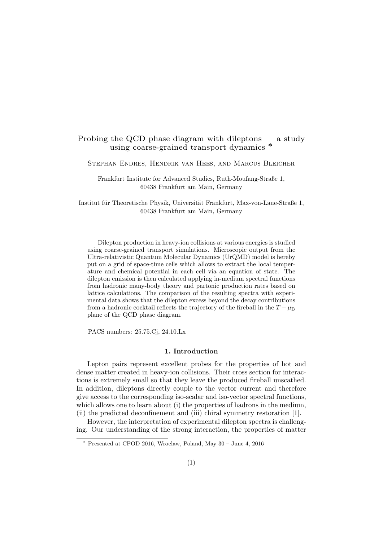# Probing the QCD phase diagram with dileptons — a study using coarse-grained transport dynamics <sup>\*</sup>

Stephan Endres, Hendrik van Hees, and Marcus Bleicher

Frankfurt Institute for Advanced Studies, Ruth-Moufang-Straße 1, 60438 Frankfurt am Main, Germany

Institut für Theoretische Physik, Universität Frankfurt, Max-von-Laue-Straße 1, 60438 Frankfurt am Main, Germany

Dilepton production in heavy-ion collisions at various energies is studied using coarse-grained transport simulations. Microscopic output from the Ultra-relativistic Quantum Molecular Dynamics (UrQMD) model is hereby put on a grid of space-time cells which allows to extract the local temperature and chemical potential in each cell via an equation of state. The dilepton emission is then calculated applying in-medium spectral functions from hadronic many-body theory and partonic production rates based on lattice calculations. The comparison of the resulting spectra with experimental data shows that the dilepton excess beyond the decay contributions from a hadronic cocktail reflects the trajectory of the fireball in the  $T - \mu_B$ plane of the QCD phase diagram.

PACS numbers: 25.75.Cj, 24.10.Lx

#### 1. Introduction

Lepton pairs represent excellent probes for the properties of hot and dense matter created in heavy-ion collisions. Their cross section for interactions is extremely small so that they leave the produced fireball unscathed. In addition, dileptons directly couple to the vector current and therefore give access to the corresponding iso-scalar and iso-vector spectral functions, which allows one to learn about (i) the properties of hadrons in the medium, (ii) the predicted deconfinement and (iii) chiral symmetry restoration [1].

However, the interpretation of experimental dilepton spectra is challenging. Our understanding of the strong interaction, the properties of matter

 $*$  Presented at CPOD 2016, Wroclaw, Poland, May 30 – June 4, 2016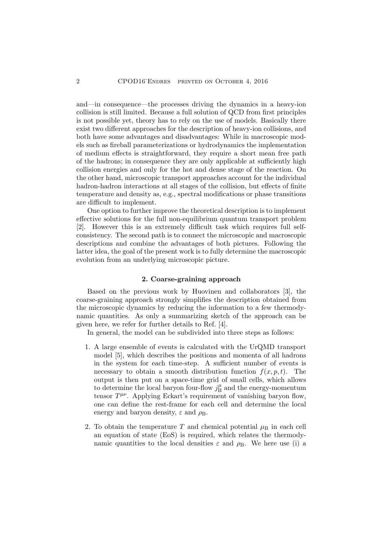and—in consequence—the processes driving the dynamics in a heavy-ion collision is still limited. Because a full solution of QCD from first principles is not possible yet, theory has to rely on the use of models. Basically there exist two different approaches for the description of heavy-ion collisions, and both have some advantages and disadvantages: While in macroscopic models such as fireball parameterizations or hydrodynamics the implementation of medium effects is straightforward, they require a short mean free path of the hadrons; in consequence they are only applicable at sufficiently high collision energies and only for the hot and dense stage of the reaction. On the other hand, microscopic transport approaches account for the individual hadron-hadron interactions at all stages of the collision, but effects of finite temperature and density as, e.g., spectral modifications or phase transitions are difficult to implement.

One option to further improve the theoretical description is to implement effective solutions for the full non-equilibrium quantum transport problem [2]. However this is an extremely difficult task which requires full selfconsistency. The second path is to connect the microscopic and macroscopic descriptions and combine the advantages of both pictures. Following the latter idea, the goal of the present work is to fully determine the macroscopic evolution from an underlying microscopic picture.

## 2. Coarse-graining approach

Based on the previous work by Huovinen and collaborators [3], the coarse-graining approach strongly simplifies the description obtained from the microscopic dynamics by reducing the information to a few thermodynamic quantities. As only a summarizing sketch of the approach can be given here, we refer for further details to Ref. [4].

In general, the model can be subdivided into three steps as follows:

- 1. A large ensemble of events is calculated with the UrQMD transport model [5], which describes the positions and momenta of all hadrons in the system for each time-step. A sufficient number of events is necessary to obtain a smooth distribution function  $f(x, p, t)$ . The output is then put on a space-time grid of small cells, which allows to determine the local baryon four-flow  $j_{\rm B}^{\mu}$  $\frac{\mu}{B}$  and the energy-momentum tensor  $T^{\mu\nu}$ . Applying Eckart's requirement of vanishing baryon flow, one can define the rest-frame for each cell and determine the local energy and baryon density,  $\varepsilon$  and  $\rho_{\rm B}$ .
- 2. To obtain the temperature T and chemical potential  $\mu$ B in each cell an equation of state (EoS) is required, which relates the thermodynamic quantities to the local densities  $\varepsilon$  and  $\rho_{\rm B}$ . We here use (i) a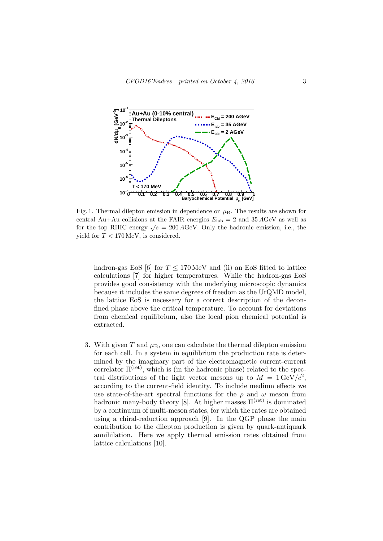

Fig. 1. Thermal dilepton emission in dependence on  $\mu_B$ . The results are shown for central Au+Au collisions at the FAIR energies  $E_{\text{lab}} = 2$  and  $35 \text{ AGeV}$  as well as for the top RHIC energy  $\sqrt{s} = 200 \text{ AGeV}$ . Only the hadronic emission, i.e., the yield for  $T < 170$  MeV, is considered.

hadron-gas EoS [6] for  $T \leq 170 \,\text{MeV}$  and (ii) an EoS fitted to lattice calculations [7] for higher temperatures. While the hadron-gas EoS provides good consistency with the underlying microscopic dynamics because it includes the same degrees of freedom as the UrQMD model, the lattice EoS is necessary for a correct description of the deconfined phase above the critical temperature. To account for deviations from chemical equilibrium, also the local pion chemical potential is extracted.

3. With given T and  $\mu_B$ , one can calculate the thermal dilepton emission for each cell. In a system in equilibrium the production rate is determined by the imaginary part of the electromagnetic current-current correlator  $\Pi^{(ret)}$ , which is (in the hadronic phase) related to the spectral distributions of the light vector mesons up to  $M = 1 \text{ GeV}/c^2$ , according to the current-field identity. To include medium effects we use state-of-the-art spectral functions for the  $\rho$  and  $\omega$  meson from hadronic many-body theory [8]. At higher masses  $\Pi^{(ret)}$  is dominated by a continuum of multi-meson states, for which the rates are obtained using a chiral-reduction approach [9]. In the QGP phase the main contribution to the dilepton production is given by quark-antiquark annihilation. Here we apply thermal emission rates obtained from lattice calculations [10].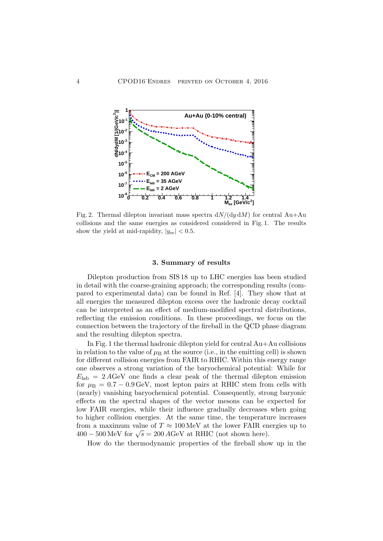

Fig. 2. Thermal dilepton invariant mass spectra  $dN/(dy dM)$  for central Au+Au collisions and the same energies as considered considered in Fig. 1. The results show the yield at mid-rapidity,  $|y_{ee}| < 0.5$ .

### 3. Summary of results

Dilepton production from SIS 18 up to LHC energies has been studied in detail with the coarse-graining approach; the corresponding results (compared to experimental data) can be found in Ref. [4]. They show that at all energies the measured dilepton excess over the hadronic decay cocktail can be interpreted as an effect of medium-modified spectral distributions, reflecting the emission conditions. In these proceedings, we focus on the connection between the trajectory of the fireball in the QCD phase diagram and the resulting dilepton spectra.

In Fig. 1 the thermal hadronic dilepton yield for central Au+Au collisions in relation to the value of  $\mu_B$  at the source (i.e., in the emitting cell) is shown for different collision energies from FAIR to RHIC. Within this energy range one observes a strong variation of the baryochemical potential: While for  $E_{\rm lab} = 2 A GeV$  one finds a clear peak of the thermal dilepton emission for  $\mu_B = 0.7 - 0.9 \,\text{GeV}$ , most lepton pairs at RHIC stem from cells with (nearly) vanishing baryochemical potential. Consequently, strong baryonic effects on the spectral shapes of the vector mesons can be expected for low FAIR energies, while their influence gradually decreases when going to higher collision energies. At the same time, the temperature increases from a maximum value of  $T \approx 100 \,\text{MeV}$  at the lower FAIR energies up to From a maximum value of  $T \approx 100$  MeV at the lower FAIR end 400 – 500 MeV for  $\sqrt{s} = 200$  AGeV at RHIC (not shown here).

How do the thermodynamic properties of the fireball show up in the